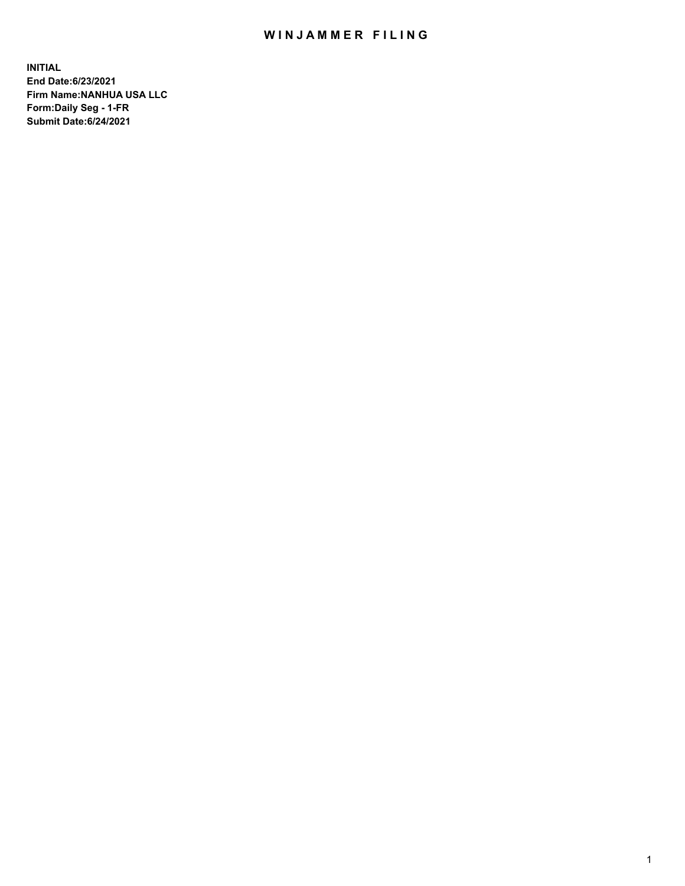## WIN JAMMER FILING

**INITIAL End Date:6/23/2021 Firm Name:NANHUA USA LLC Form:Daily Seg - 1-FR Submit Date:6/24/2021**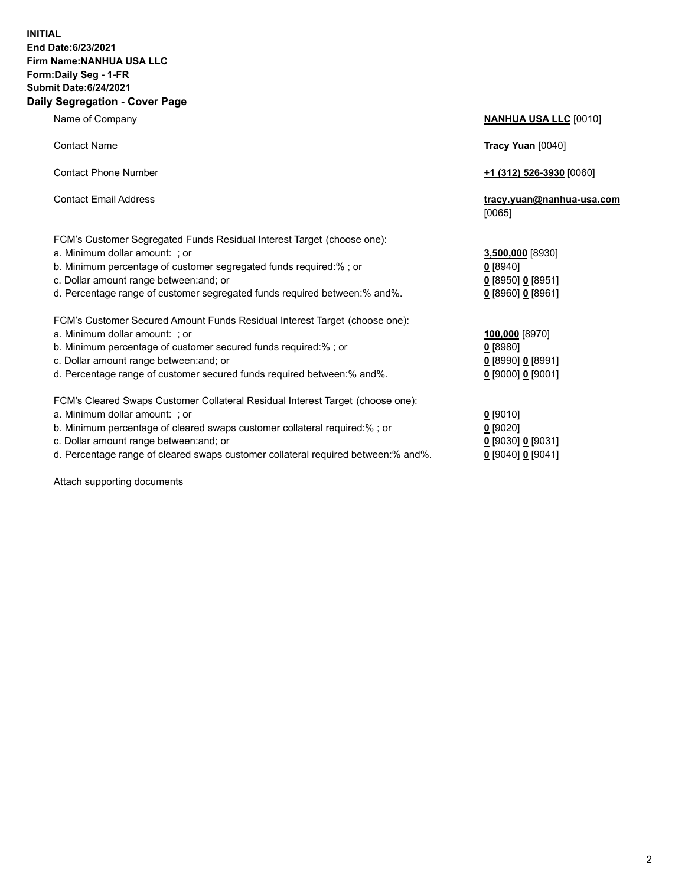## **INITIAL End Date:6/23/2021 Firm Name:NANHUA USA LLC Form:Daily Seg - 1-FR Submit Date:6/24/2021 Daily Segregation - Cover Page**

Name of Company **NANHUA USA LLC** [0010] Contact Name **Tracy Yuan** [0040] Contact Phone Number **+1 (312) 526-3930** [0060] Contact Email Address **tracy.yuan@nanhua-usa.com** [0065] FCM's Customer Segregated Funds Residual Interest Target (choose one): a. Minimum dollar amount: ; or **3,500,000** [8930] b. Minimum percentage of customer segregated funds required:% ; or **0** [8940] c. Dollar amount range between:and; or **0** [8950] **0** [8951] d. Percentage range of customer segregated funds required between:% and%. **0** [8960] **0** [8961] FCM's Customer Secured Amount Funds Residual Interest Target (choose one): a. Minimum dollar amount: ; or **100,000** [8970] b. Minimum percentage of customer secured funds required:% ; or **0** [8980] c. Dollar amount range between:and; or **0** [8990] **0** [8991] d. Percentage range of customer secured funds required between:% and%. **0** [9000] **0** [9001] FCM's Cleared Swaps Customer Collateral Residual Interest Target (choose one): a. Minimum dollar amount: ; or **0** [9010] b. Minimum percentage of cleared swaps customer collateral required:% ; or **0** [9020] c. Dollar amount range between:and; or **0** [9030] **0** [9031]

d. Percentage range of cleared swaps customer collateral required between:% and%. **0** [9040] **0** [9041]

Attach supporting documents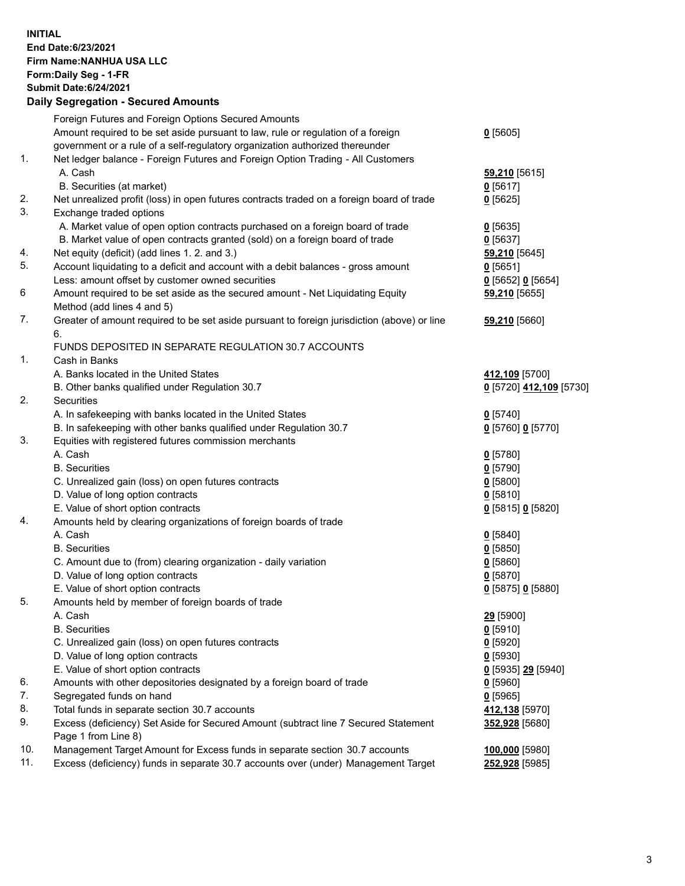## **INITIAL End Date:6/23/2021 Firm Name:NANHUA USA LLC Form:Daily Seg - 1-FR Submit Date:6/24/2021**

|     | <b>Daily Segregation - Secured Amounts</b>                                                         |                         |
|-----|----------------------------------------------------------------------------------------------------|-------------------------|
|     | Foreign Futures and Foreign Options Secured Amounts                                                |                         |
|     | Amount required to be set aside pursuant to law, rule or regulation of a foreign                   | $0$ [5605]              |
|     | government or a rule of a self-regulatory organization authorized thereunder                       |                         |
| 1.  | Net ledger balance - Foreign Futures and Foreign Option Trading - All Customers                    |                         |
|     | A. Cash                                                                                            | 59,210 [5615]           |
|     | B. Securities (at market)                                                                          | $0$ [5617]              |
| 2.  | Net unrealized profit (loss) in open futures contracts traded on a foreign board of trade          | $0$ [5625]              |
| 3.  | Exchange traded options                                                                            |                         |
|     | A. Market value of open option contracts purchased on a foreign board of trade                     | $Q$ [5635]              |
|     | B. Market value of open contracts granted (sold) on a foreign board of trade                       | $0$ [5637]              |
| 4.  | Net equity (deficit) (add lines 1. 2. and 3.)                                                      | <b>59,210</b> [5645]    |
| 5.  | Account liquidating to a deficit and account with a debit balances - gross amount                  | $0$ [5651]              |
|     | Less: amount offset by customer owned securities                                                   | $0$ [5652] $0$ [5654]   |
| 6   | Amount required to be set aside as the secured amount - Net Liquidating Equity                     | 59,210 [5655]           |
|     | Method (add lines 4 and 5)                                                                         |                         |
| 7.  | Greater of amount required to be set aside pursuant to foreign jurisdiction (above) or line        | 59,210 [5660]           |
|     | 6.                                                                                                 |                         |
|     | FUNDS DEPOSITED IN SEPARATE REGULATION 30.7 ACCOUNTS                                               |                         |
| 1.  | Cash in Banks                                                                                      |                         |
|     | A. Banks located in the United States                                                              | 412,109 [5700]          |
|     | B. Other banks qualified under Regulation 30.7                                                     | 0 [5720] 412,109 [5730] |
| 2.  | Securities                                                                                         |                         |
|     | A. In safekeeping with banks located in the United States                                          | $0$ [5740]              |
|     | B. In safekeeping with other banks qualified under Regulation 30.7                                 | 0 [5760] 0 [5770]       |
| 3.  | Equities with registered futures commission merchants                                              |                         |
|     | A. Cash                                                                                            | $0$ [5780]              |
|     | <b>B.</b> Securities                                                                               | $0$ [5790]              |
|     | C. Unrealized gain (loss) on open futures contracts                                                | $0$ [5800]              |
|     | D. Value of long option contracts                                                                  | $0$ [5810]              |
|     | E. Value of short option contracts                                                                 | 0 [5815] 0 [5820]       |
| 4.  | Amounts held by clearing organizations of foreign boards of trade                                  |                         |
|     | A. Cash                                                                                            | $0$ [5840]              |
|     | <b>B.</b> Securities                                                                               | $0$ [5850]              |
|     | C. Amount due to (from) clearing organization - daily variation                                    | $0$ [5860]              |
|     | D. Value of long option contracts                                                                  | $0$ [5870]              |
|     | E. Value of short option contracts                                                                 | 0 [5875] 0 [5880]       |
| 5.  | Amounts held by member of foreign boards of trade                                                  |                         |
|     | A. Cash                                                                                            | 29 [5900]               |
|     | <b>B.</b> Securities                                                                               | $0$ [5910]              |
|     | C. Unrealized gain (loss) on open futures contracts                                                | $0$ [5920]              |
|     | D. Value of long option contracts                                                                  | $0$ [5930]              |
| 6.  | E. Value of short option contracts                                                                 | 0 [5935] 29 [5940]      |
| 7.  | Amounts with other depositories designated by a foreign board of trade<br>Segregated funds on hand | $0$ [5960]              |
| 8.  | Total funds in separate section 30.7 accounts                                                      | $0$ [5965]              |
| 9.  | Excess (deficiency) Set Aside for Secured Amount (subtract line 7 Secured Statement                | 412,138 [5970]          |
|     | Page 1 from Line 8)                                                                                | 352,928 [5680]          |
| 10. | Management Target Amount for Excess funds in separate section 30.7 accounts                        | 100,000 [5980]          |
| 11. | Excess (deficiency) funds in separate 30.7 accounts over (under) Management Target                 | 252,928 [5985]          |
|     |                                                                                                    |                         |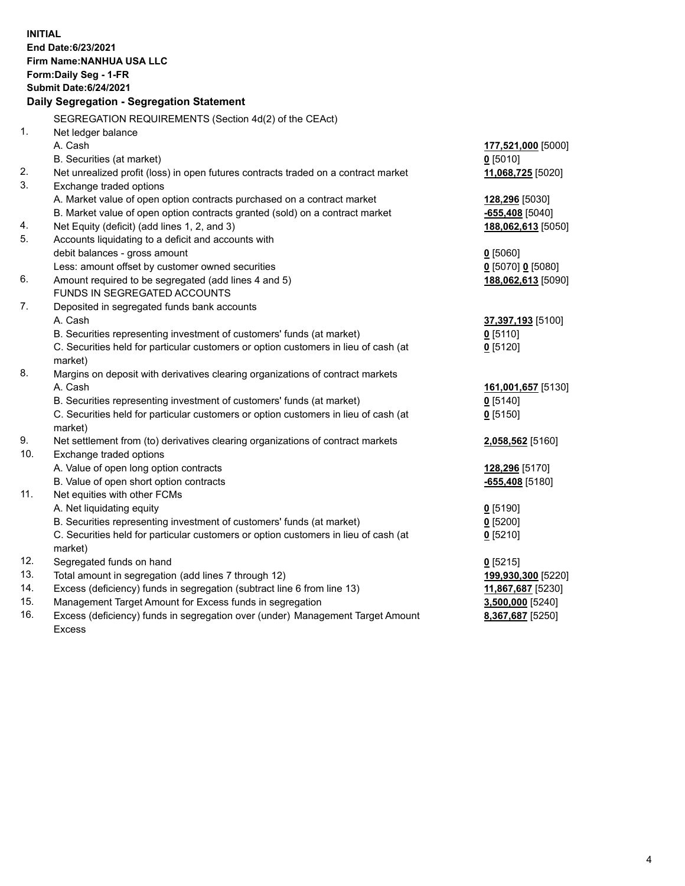| <b>INITIAL</b><br>End Date: 6/23/2021<br>Firm Name: NANHUA USA LLC<br>Form: Daily Seg - 1-FR<br><b>Submit Date:6/24/2021</b><br>Daily Segregation - Segregation Statement |                                                                                      |                    |  |  |
|---------------------------------------------------------------------------------------------------------------------------------------------------------------------------|--------------------------------------------------------------------------------------|--------------------|--|--|
|                                                                                                                                                                           | SEGREGATION REQUIREMENTS (Section 4d(2) of the CEAct)                                |                    |  |  |
| 1.                                                                                                                                                                        | Net ledger balance                                                                   |                    |  |  |
|                                                                                                                                                                           | A. Cash                                                                              | 177,521,000 [5000] |  |  |
|                                                                                                                                                                           | B. Securities (at market)                                                            | $0$ [5010]         |  |  |
| 2.                                                                                                                                                                        | Net unrealized profit (loss) in open futures contracts traded on a contract market   | 11,068,725 [5020]  |  |  |
| 3.                                                                                                                                                                        | Exchange traded options                                                              |                    |  |  |
|                                                                                                                                                                           | A. Market value of open option contracts purchased on a contract market              | 128,296 [5030]     |  |  |
|                                                                                                                                                                           | B. Market value of open option contracts granted (sold) on a contract market         | -655,408 [5040]    |  |  |
| 4.                                                                                                                                                                        | Net Equity (deficit) (add lines 1, 2, and 3)                                         | 188,062,613 [5050] |  |  |
| 5.                                                                                                                                                                        | Accounts liquidating to a deficit and accounts with                                  |                    |  |  |
|                                                                                                                                                                           | debit balances - gross amount                                                        | $0$ [5060]         |  |  |
| 6.                                                                                                                                                                        | Less: amount offset by customer owned securities                                     | 0 [5070] 0 [5080]  |  |  |
|                                                                                                                                                                           | Amount required to be segregated (add lines 4 and 5)<br>FUNDS IN SEGREGATED ACCOUNTS | 188,062,613 [5090] |  |  |
| 7.                                                                                                                                                                        | Deposited in segregated funds bank accounts                                          |                    |  |  |
|                                                                                                                                                                           | A. Cash                                                                              | 37,397,193 [5100]  |  |  |
|                                                                                                                                                                           | B. Securities representing investment of customers' funds (at market)                | $0$ [5110]         |  |  |
|                                                                                                                                                                           | C. Securities held for particular customers or option customers in lieu of cash (at  | $0$ [5120]         |  |  |
|                                                                                                                                                                           | market)                                                                              |                    |  |  |
| 8.                                                                                                                                                                        | Margins on deposit with derivatives clearing organizations of contract markets       |                    |  |  |
|                                                                                                                                                                           | A. Cash                                                                              | 161,001,657 [5130] |  |  |
|                                                                                                                                                                           | B. Securities representing investment of customers' funds (at market)                | $0$ [5140]         |  |  |
|                                                                                                                                                                           | C. Securities held for particular customers or option customers in lieu of cash (at  | $0$ [5150]         |  |  |
|                                                                                                                                                                           | market)                                                                              |                    |  |  |
| 9.                                                                                                                                                                        | Net settlement from (to) derivatives clearing organizations of contract markets      | 2,058,562 [5160]   |  |  |
| 10.                                                                                                                                                                       | Exchange traded options                                                              |                    |  |  |
|                                                                                                                                                                           | A. Value of open long option contracts                                               | 128,296 [5170]     |  |  |
|                                                                                                                                                                           | B. Value of open short option contracts                                              | -655,408 [5180]    |  |  |
| 11.                                                                                                                                                                       | Net equities with other FCMs                                                         |                    |  |  |
|                                                                                                                                                                           | A. Net liquidating equity                                                            | $0$ [5190]         |  |  |
|                                                                                                                                                                           | B. Securities representing investment of customers' funds (at market)                | $0$ [5200]         |  |  |
|                                                                                                                                                                           | C. Securities held for particular customers or option customers in lieu of cash (at  | $0$ [5210]         |  |  |
|                                                                                                                                                                           | market)                                                                              |                    |  |  |
| 12.                                                                                                                                                                       | Segregated funds on hand                                                             | $0$ [5215]         |  |  |
| 13.                                                                                                                                                                       | Total amount in segregation (add lines 7 through 12)                                 | 199,930,300 [5220] |  |  |
| 14.                                                                                                                                                                       | Excess (deficiency) funds in segregation (subtract line 6 from line 13)              | 11,867,687 [5230]  |  |  |
| 15.                                                                                                                                                                       | Management Target Amount for Excess funds in segregation                             | 3,500,000 [5240]   |  |  |
| 16.                                                                                                                                                                       | Excess (deficiency) funds in segregation over (under) Management Target Amount       | 8,367,687 [5250]   |  |  |
|                                                                                                                                                                           | <b>Excess</b>                                                                        |                    |  |  |